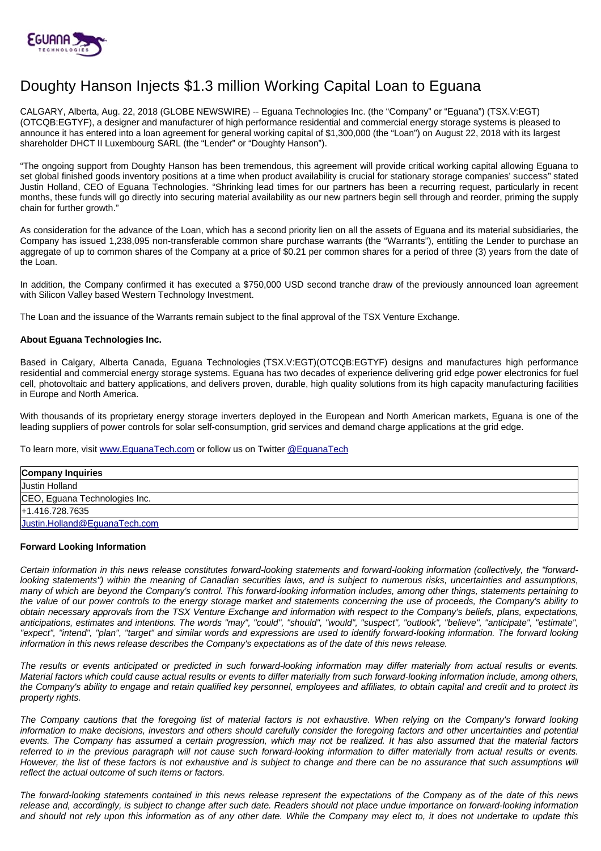

## Doughty Hanson Injects \$1.3 million Working Capital Loan to Eguana

CALGARY, Alberta, Aug. 22, 2018 (GLOBE NEWSWIRE) -- Eguana Technologies Inc. (the "Company" or "Eguana") (TSX.V:EGT) (OTCQB:EGTYF), a designer and manufacturer of high performance residential and commercial energy storage systems is pleased to announce it has entered into a loan agreement for general working capital of \$1,300,000 (the "Loan") on August 22, 2018 with its largest shareholder DHCT II Luxembourg SARL (the "Lender" or "Doughty Hanson").

"The ongoing support from Doughty Hanson has been tremendous, this agreement will provide critical working capital allowing Eguana to set global finished goods inventory positions at a time when product availability is crucial for stationary storage companies' success" stated Justin Holland, CEO of Eguana Technologies. "Shrinking lead times for our partners has been a recurring request, particularly in recent months, these funds will go directly into securing material availability as our new partners begin sell through and reorder, priming the supply chain for further growth."

As consideration for the advance of the Loan, which has a second priority lien on all the assets of Eguana and its material subsidiaries, the Company has issued 1,238,095 non-transferable common share purchase warrants (the "Warrants"), entitling the Lender to purchase an aggregate of up to common shares of the Company at a price of \$0.21 per common shares for a period of three (3) years from the date of the Loan.

In addition, the Company confirmed it has executed a \$750,000 USD second tranche draw of the previously announced loan agreement with Silicon Valley based Western Technology Investment.

The Loan and the issuance of the Warrants remain subject to the final approval of the TSX Venture Exchange.

## **About Eguana Technologies Inc.**

Based in Calgary, Alberta Canada, Eguana Technologies (TSX.V:EGT)(OTCQB:EGTYF) designs and manufactures high performance residential and commercial energy storage systems. Eguana has two decades of experience delivering grid edge power electronics for fuel cell, photovoltaic and battery applications, and delivers proven, durable, high quality solutions from its high capacity manufacturing facilities in Europe and North America.

With thousands of its proprietary energy storage inverters deployed in the European and North American markets, Eguana is one of the leading suppliers of power controls for solar self-consumption, grid services and demand charge applications at the grid edge.

To learn more, visit [www.EguanaTech.com](http://www.eguanatech.com/) or follow us on Twitter [@EguanaTech](https://twitter.com/EguanaTech)

| <b>Company Inquiries</b>      |
|-------------------------------|
| <b>Justin Holland</b>         |
| CEO, Eguana Technologies Inc. |
| +1.416.728.7635               |
| Justin.Holland@EquanaTech.com |

## **Forward Looking Information**

Certain information in this news release constitutes forward-looking statements and forward-looking information (collectively, the "forwardlooking statements") within the meaning of Canadian securities laws, and is subject to numerous risks, uncertainties and assumptions, many of which are beyond the Company's control. This forward-looking information includes, among other things, statements pertaining to the value of our power controls to the energy storage market and statements concerning the use of proceeds, the Company's ability to obtain necessary approvals from the TSX Venture Exchange and information with respect to the Company's beliefs, plans, expectations, anticipations, estimates and intentions. The words "may", "could", "should", "would", "suspect", "outlook", "believe", "anticipate", "estimate", "expect", "intend", "plan", "target" and similar words and expressions are used to identify forward-looking information. The forward looking information in this news release describes the Company's expectations as of the date of this news release.

The results or events anticipated or predicted in such forward-looking information may differ materially from actual results or events. Material factors which could cause actual results or events to differ materially from such forward-looking information include, among others, the Company's ability to engage and retain qualified key personnel, employees and affiliates, to obtain capital and credit and to protect its property rights.

The Company cautions that the foregoing list of material factors is not exhaustive. When relying on the Company's forward looking information to make decisions, investors and others should carefully consider the foregoing factors and other uncertainties and potential events. The Company has assumed a certain progression, which may not be realized. It has also assumed that the material factors referred to in the previous paragraph will not cause such forward-looking information to differ materially from actual results or events. However, the list of these factors is not exhaustive and is subject to change and there can be no assurance that such assumptions will reflect the actual outcome of such items or factors.

The forward-looking statements contained in this news release represent the expectations of the Company as of the date of this news release and, accordingly, is subject to change after such date. Readers should not place undue importance on forward-looking information and should not rely upon this information as of any other date. While the Company may elect to, it does not undertake to update this